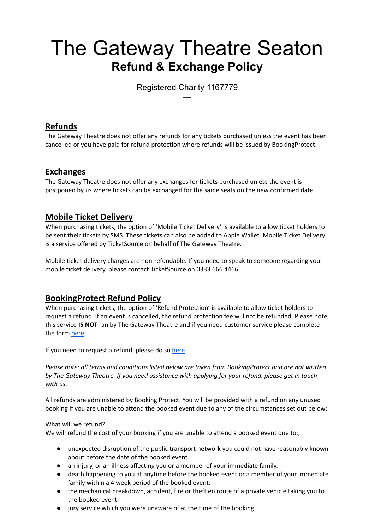# The Gateway Theatre Seaton **Refund & Exchange Policy**

Registered Charity 1167779 —

## **Refunds**

The Gateway Theatre does not offer any refunds for any tickets purchased unless the event has been cancelled or you have paid for refund protection where refunds will be issued by BookingProtect.

## **Exchanges**

The Gateway Theatre does not offer any exchanges for tickets purchased unless the event is postponed by us where tickets can be exchanged for the same seats on the new confirmed date.

## **Mobile Ticket Delivery**

When purchasing tickets, the option of 'Mobile Ticket Delivery' is available to allow ticket holders to be sent their tickets by SMS. These tickets can also be added to Apple Wallet. Mobile Ticket Delivery is a service offered by TicketSource on behalf of The Gateway Theatre.

Mobile ticket delivery charges are non-refundable. If you need to speak to someone regarding your mobile ticket delivery, please contact TicketSource on 0333 666 4466.

## **BookingProtect Refund Policy**

When purchasing tickets, the option of 'Refund Protection' is available to allow ticket holders to request a refund. If an event is cancelled, the refund protection fee will not be refunded. Please note this service **IS NOT** ran by The Gateway Theatre and if you need customer service please complete the form [here.](https://bookingprotect.com/contact/)

If you need to request a refund, please do so [here.](https://bookingprotect.com/apply-for-a-refund/)

*Please note: all terms and conditions listed below are taken from BookingProtect and are not written by The Gateway Theatre. If you need assistance with applying for your refund, please get in touch with us.*

All refunds are administered by Booking Protect. You will be provided with a refund on any unused booking if you are unable to attend the booked event due to any of the circumstances set out below:

#### What will we refund?

We will refund the cost of your booking if you are unable to attend a booked event due to:;

- unexpected disruption of the public transport network you could not have reasonably known about before the date of the booked event.
- an injury, or an illness affecting you or a member of your immediate family.
- death happening to you at anytime before the booked event or a member of your immediate family within a 4 week period of the booked event.
- the mechanical breakdown, accident, fire or theft en route of a private vehicle taking you to the booked event.
- jury service which you were unaware of at the time of the booking.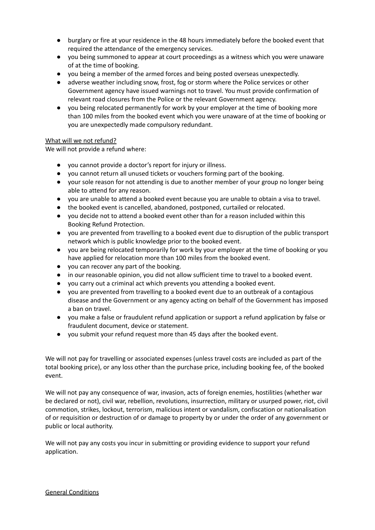- burglary or fire at your residence in the 48 hours immediately before the booked event that required the attendance of the emergency services.
- you being summoned to appear at court proceedings as a witness which you were unaware of at the time of booking.
- you being a member of the armed forces and being posted overseas unexpectedly.
- adverse weather including snow, frost, fog or storm where the Police services or other Government agency have issued warnings not to travel. You must provide confirmation of relevant road closures from the Police or the relevant Government agency.
- you being relocated permanently for work by your employer at the time of booking more than 100 miles from the booked event which you were unaware of at the time of booking or you are unexpectedly made compulsory redundant.

#### What will we not refund?

We will not provide a refund where:

- you cannot provide a doctor's report for injury or illness.
- you cannot return all unused tickets or vouchers forming part of the booking.
- your sole reason for not attending is due to another member of your group no longer being able to attend for any reason.
- you are unable to attend a booked event because you are unable to obtain a visa to travel.
- the booked event is cancelled, abandoned, postponed, curtailed or relocated.
- you decide not to attend a booked event other than for a reason included within this Booking Refund Protection.
- you are prevented from travelling to a booked event due to disruption of the public transport network which is public knowledge prior to the booked event.
- you are being relocated temporarily for work by your employer at the time of booking or you have applied for relocation more than 100 miles from the booked event.
- you can recover any part of the booking.
- in our reasonable opinion, you did not allow sufficient time to travel to a booked event.
- you carry out a criminal act which prevents you attending a booked event.
- you are prevented from travelling to a booked event due to an outbreak of a contagious disease and the Government or any agency acting on behalf of the Government has imposed a ban on travel.
- you make a false or fraudulent refund application or support a refund application by false or fraudulent document, device or statement.
- you submit your refund request more than 45 days after the booked event.

We will not pay for travelling or associated expenses (unless travel costs are included as part of the total booking price), or any loss other than the purchase price, including booking fee, of the booked event.

We will not pay any consequence of war, invasion, acts of foreign enemies, hostilities (whether war be declared or not), civil war, rebellion, revolutions, insurrection, military or usurped power, riot, civil commotion, strikes, lockout, terrorism, malicious intent or vandalism, confiscation or nationalisation of or requisition or destruction of or damage to property by or under the order of any government or public or local authority.

We will not pay any costs you incur in submitting or providing evidence to support your refund application.